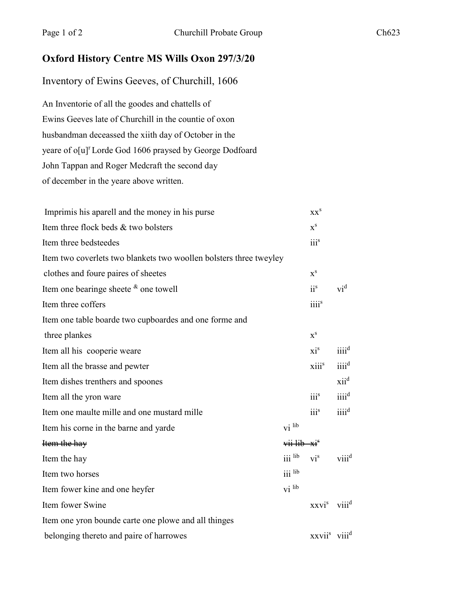## **Oxford History Centre MS Wills Oxon 297/3/20**

## Inventory of Ewins Geeves, of Churchill, 1606

An Inventorie of all the goodes and chattells of Ewins Geeves late of Churchill in the countie of oxon husbandman deceassed the xiith day of October in the yeare of o[u]<sup>r</sup> Lorde God 1606 praysed by George Dodfoard John Tappan and Roger Medcraft the second day of december in the yeare above written.

| Imprimis his aparell and the money in his purse                    |                      | XX <sup>S</sup>                      |                    |
|--------------------------------------------------------------------|----------------------|--------------------------------------|--------------------|
| Item three flock beds & two bolsters                               |                      | $X^S$                                |                    |
| Item three bedsteedes                                              |                      | iiis                                 |                    |
| Item two coverlets two blankets two woollen bolsters three tweyley |                      |                                      |                    |
| clothes and foure paires of sheetes                                |                      | $\mathbf{x}^{\rm s}$                 |                    |
| Item one bearinge sheete $\&$ one towell                           |                      | $ii^s$                               | $vi^d$             |
| Item three coffers                                                 |                      | iiii <sup>s</sup>                    |                    |
| Item one table boarde two cupboardes and one forme and             |                      |                                      |                    |
| three plankes                                                      |                      | $\mathbf{x}^{\mathbf{s}}$            |                    |
| Item all his cooperie weare                                        |                      | $xi^s$                               | iiii <sup>d</sup>  |
| Item all the brasse and pewter                                     |                      | xiiis                                | iiii <sup>d</sup>  |
| Item dishes trenthers and spoones                                  |                      |                                      | $xii^d$            |
| Item all the yron ware                                             |                      | iii <sup>s</sup>                     | iiii <sup>d</sup>  |
| Item one maulte mille and one mustard mille                        |                      | iii <sup>s</sup>                     | $iii$ <sup>d</sup> |
| Item his corne in the barne and yarde                              | $\overline{vi}$ lib  |                                      |                    |
| Item the hay                                                       | $vii lib -xis$       |                                      |                    |
| Item the hay                                                       | $\overline{111}$ lib | $vi^s$                               | viii <sup>d</sup>  |
| Item two horses                                                    | $\overline{111}$ lib |                                      |                    |
| Item fower kine and one heyfer                                     | $\overline{vi}$ lib  |                                      |                    |
| Item fower Swine                                                   |                      | $xxvis$ viii <sup>d</sup>            |                    |
| Item one yron bounde carte one plowe and all thinges               |                      |                                      |                    |
| belonging thereto and paire of harrowes                            |                      | xxvii <sup>s</sup> viii <sup>d</sup> |                    |